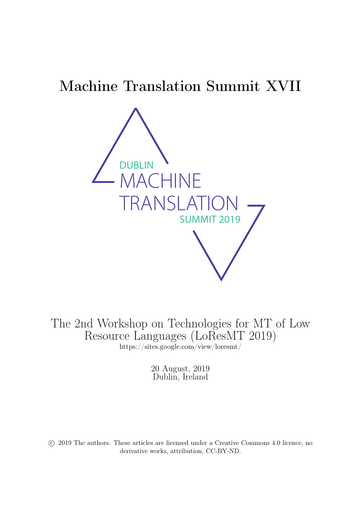## Machine Translation Summit XVII



The 2nd Workshop on Technologies for MT of Low Resource Languages (LoResMT 2019) <https://sites.google.com/view/loresmt/>

> 20 August, 2019 Dublin, Ireland

 c 2019 The authors. These articles are licensed under a Creative Commons 4.0 licence, no derivative works, attribution, CC-BY-ND.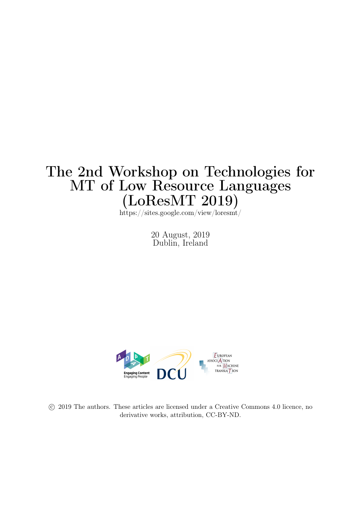## The 2nd Workshop on Technologies for MT of Low Resource Languages (LoResMT 2019)

 $\rm \text{https://sites.google.com/view/loresmt/}$  $\rm \text{https://sites.google.com/view/loresmt/}$  $\rm \text{https://sites.google.com/view/loresmt/}$ 

20 August, 2019 Dublin, Ireland



 c 2019 The authors. These articles are licensed under a Creative Commons 4.0 licence, no derivative works, attribution, CC-BY-ND.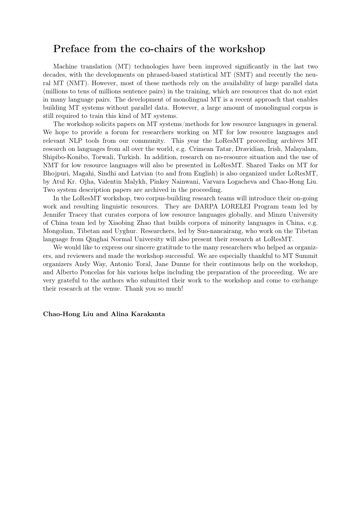### Preface from the co-chairs of the workshop

Machine translation (MT) technologies have been improved significantly in the last two decades, with the developments on phrased-based statistical MT (SMT) and recently the neural MT (NMT). However, most of these methods rely on the availability of large parallel data (millions to tens of millions sentence pairs) in the training, which are resources that do not exist in many language pairs. The development of monolingual MT is a recent approach that enables building MT systems without parallel data. However, a large amount of monolingual corpus is still required to train this kind of MT systems.

The workshop solicits papers on MT systems/methods for low resource languages in general. We hope to provide a forum for researchers working on MT for low resource languages and relevant NLP tools from our community. This year the LoResMT proceeding archives MT research on languages from all over the world, e.g. Crimean Tatar, Dravidian, Irish, Malayalam, Shipibo-Konibo, Torwali, Turkish. In addition, research on no-resource situation and the use of NMT for low resource languages will also be presented in LoResMT. Shared Tasks on MT for Bhojpuri, Magahi, Sindhi and Latvian (to and from English) is also organized under LoResMT, by Atul Kr. Ojha, Valentin Malykh, Pinkey Nainwani, Varvara Logacheva and Chao-Hong Liu. Two system description papers are archived in the proceeding.

In the LoResMT workshop, two corpus-building research teams will introduce their on-going work and resulting linguistic resources. They are DARPA LORELEI Program team led by Jennifer Tracey that curates corpora of low resource languages globally, and Minzu University of China team led by Xiaobing Zhao that builds corpora of minority languages in China, e.g. Mongolian, Tibetan and Uyghur. Researchers, led by Suo-nancairang, who work on the Tibetan language from Qinghai Normal University will also present their research at LoResMT.

We would like to express our sincere gratitude to the many researchers who helped as organizers, and reviewers and made the workshop successful. We are especially thankful to MT Summit organizers Andy Way, Antonio Toral, Jane Dunne for their continuous help on the workshop, and Alberto Poncelas for his various helps including the preparation of the proceeding. We are very grateful to the authors who submitted their work to the workshop and come to exchange their research at the venue. Thank you so much!

Chao-Hong Liu and Alina Karakanta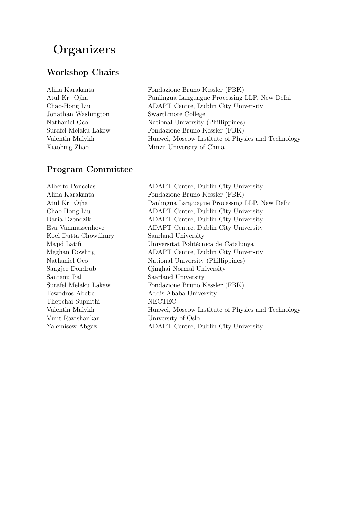### **Organizers**

### Workshop Chairs

| Alina Karakanta      |
|----------------------|
| Atul Kr. Ojha        |
| Chao-Hong Liu        |
| Jonathan Washington  |
| Nathaniel Oco        |
| Surafel Melaku Lakew |
| Valentin Malykh      |
| Xiaobing Zhao        |

Fondazione Bruno Kessler (FBK) Panlingua Languague Processing LLP, New Delhi ADAPT Centre, Dublin City University Swarthmore College National University (Phillippines) Fondazione Bruno Kessler (FBK) Huawei, Moscow Institute of Physics and Technology Minzu University of China

### Program Committee

Koel Dutta Chowdhury Saarland University Santanu Pal Saarland University Tewodros Abebe Addis Ababa University Thepchai Supnithi NECTEC Vinit Ravishankar University of Oslo

Alberto Poncelas ADAPT Centre, Dublin City University Alina Karakanta Fondazione Bruno Kessler (FBK) Atul Kr. Ojha Panlingua Languague Processing LLP, New Delhi Chao-Hong Liu ADAPT Centre, Dublin City University Daria Dzendzik ADAPT Centre, Dublin City University Eva Vanmassenhove ADAPT Centre, Dublin City University Majid Latifi Universitat Politècnica de Catalunya Meghan Dowling ADAPT Centre, Dublin City University Nathaniel Oco National University (Phillippines) Sangjee Dondrub Qinghai Normal University Surafel Melaku Lakew Fondazione Bruno Kessler (FBK) Valentin Malykh Huawei, Moscow Institute of Physics and Technology Yalemisew Abgaz ADAPT Centre, Dublin City University